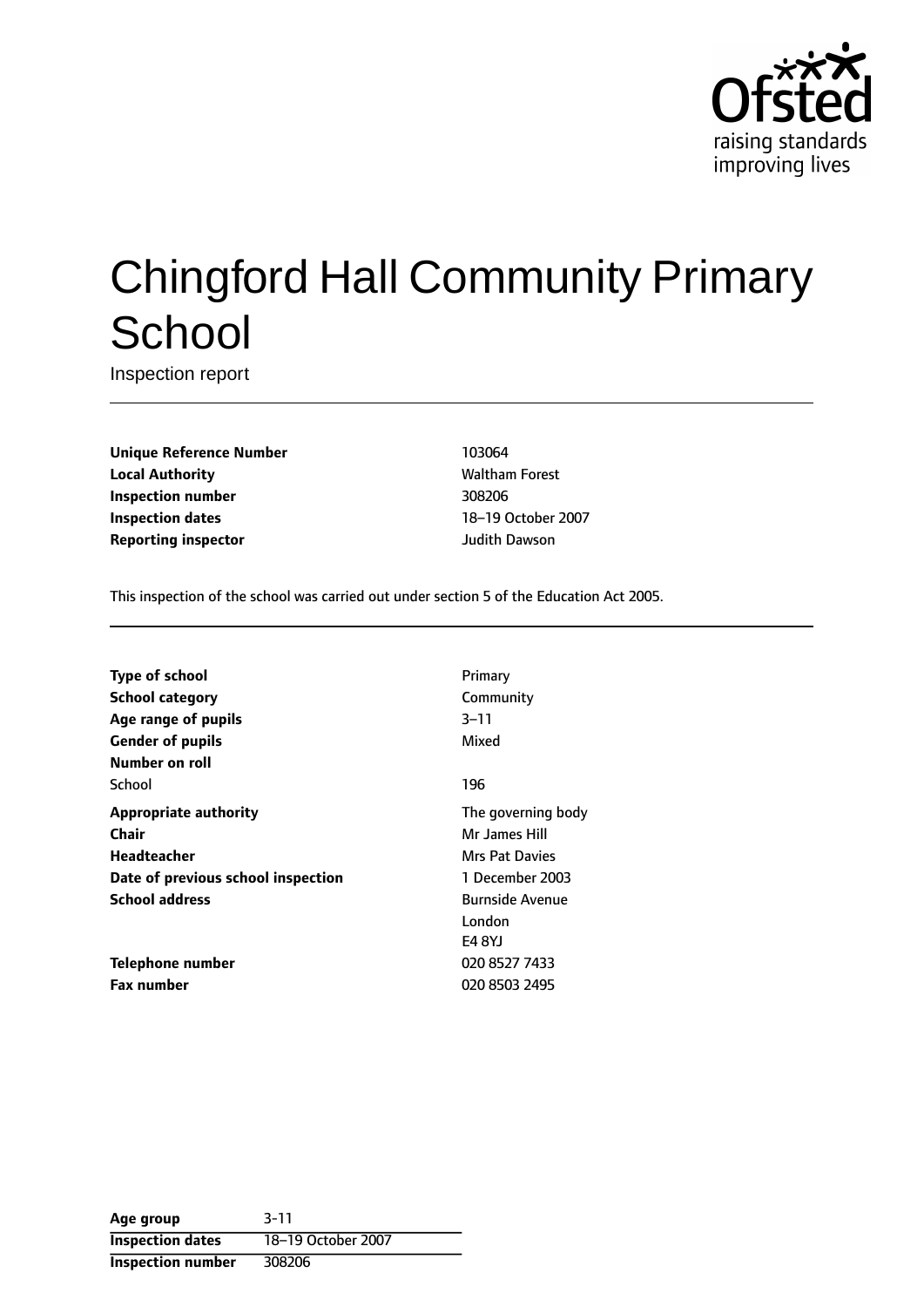

# Chingford Hall Community Primary **School**

Inspection report

**Unique Reference Number** 103064 **Local Authority Maltham Forest Waltham Forest Inspection number** 308206 **Inspection dates** 18-19 October 2007 **Reporting inspector and a structure of the United Structure I** and Judith Dawson

This inspection of the school was carried out under section 5 of the Education Act 2005.

| Type of school                     | Primary                |
|------------------------------------|------------------------|
| <b>School category</b>             | Community              |
| Age range of pupils                | $3 - 11$               |
| <b>Gender of pupils</b>            | Mixed                  |
| Number on roll                     |                        |
| School                             | 196                    |
| <b>Appropriate authority</b>       | The governing body     |
| <b>Chair</b>                       | Mr James Hill          |
| Headteacher                        | Mrs Pat Davies         |
| Date of previous school inspection | 1 December 2003        |
| <b>School address</b>              | <b>Burnside Avenue</b> |
|                                    | London                 |
|                                    | E4 8YJ                 |
| Telephone number                   | 020 8527 7433          |
| <b>Fax number</b>                  | 020 8503 2495          |

| Age group                | $3 - 11$           |
|--------------------------|--------------------|
| <b>Inspection dates</b>  | 18-19 October 2007 |
| <b>Inspection number</b> | 308206             |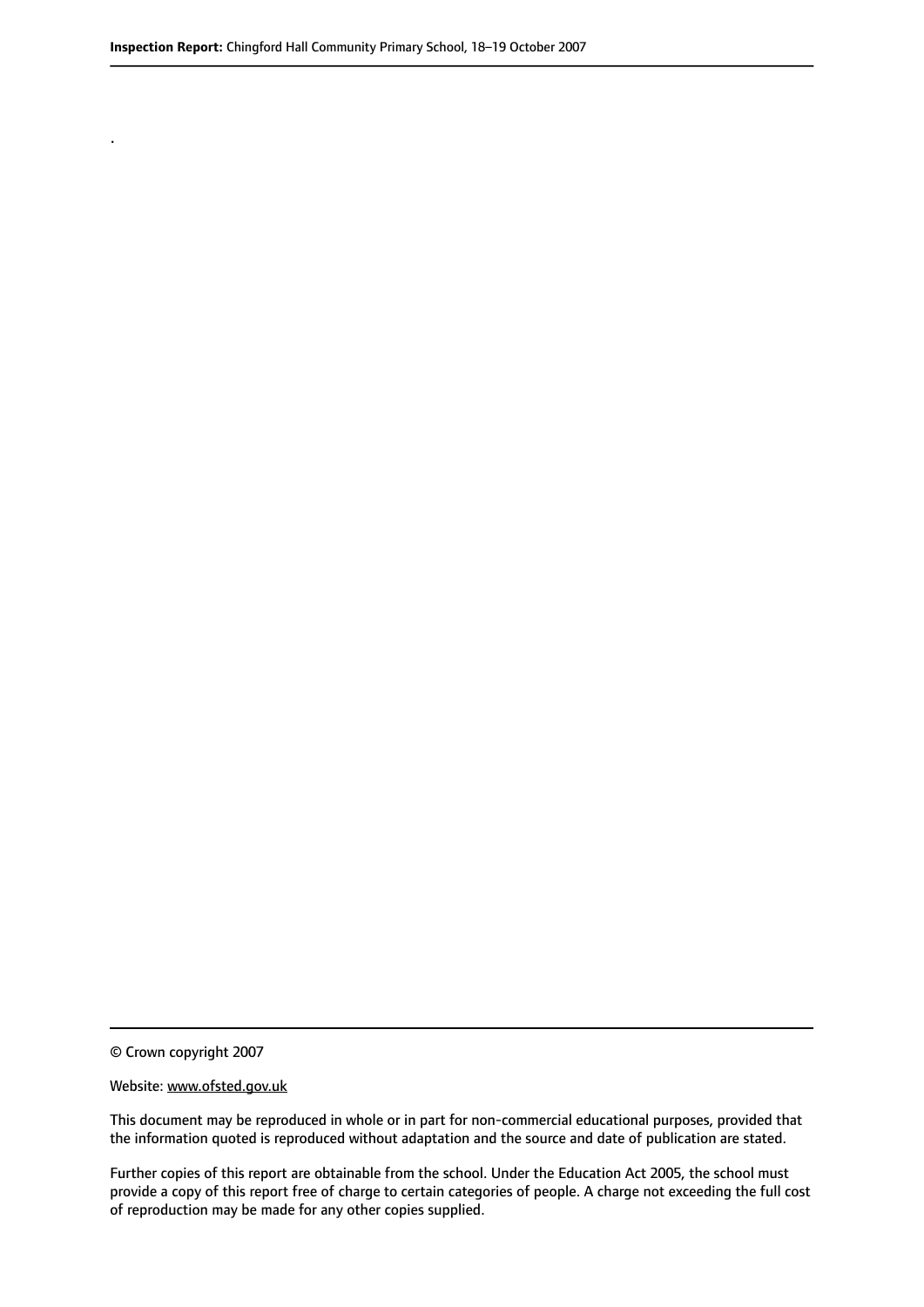.

© Crown copyright 2007

#### Website: www.ofsted.gov.uk

This document may be reproduced in whole or in part for non-commercial educational purposes, provided that the information quoted is reproduced without adaptation and the source and date of publication are stated.

Further copies of this report are obtainable from the school. Under the Education Act 2005, the school must provide a copy of this report free of charge to certain categories of people. A charge not exceeding the full cost of reproduction may be made for any other copies supplied.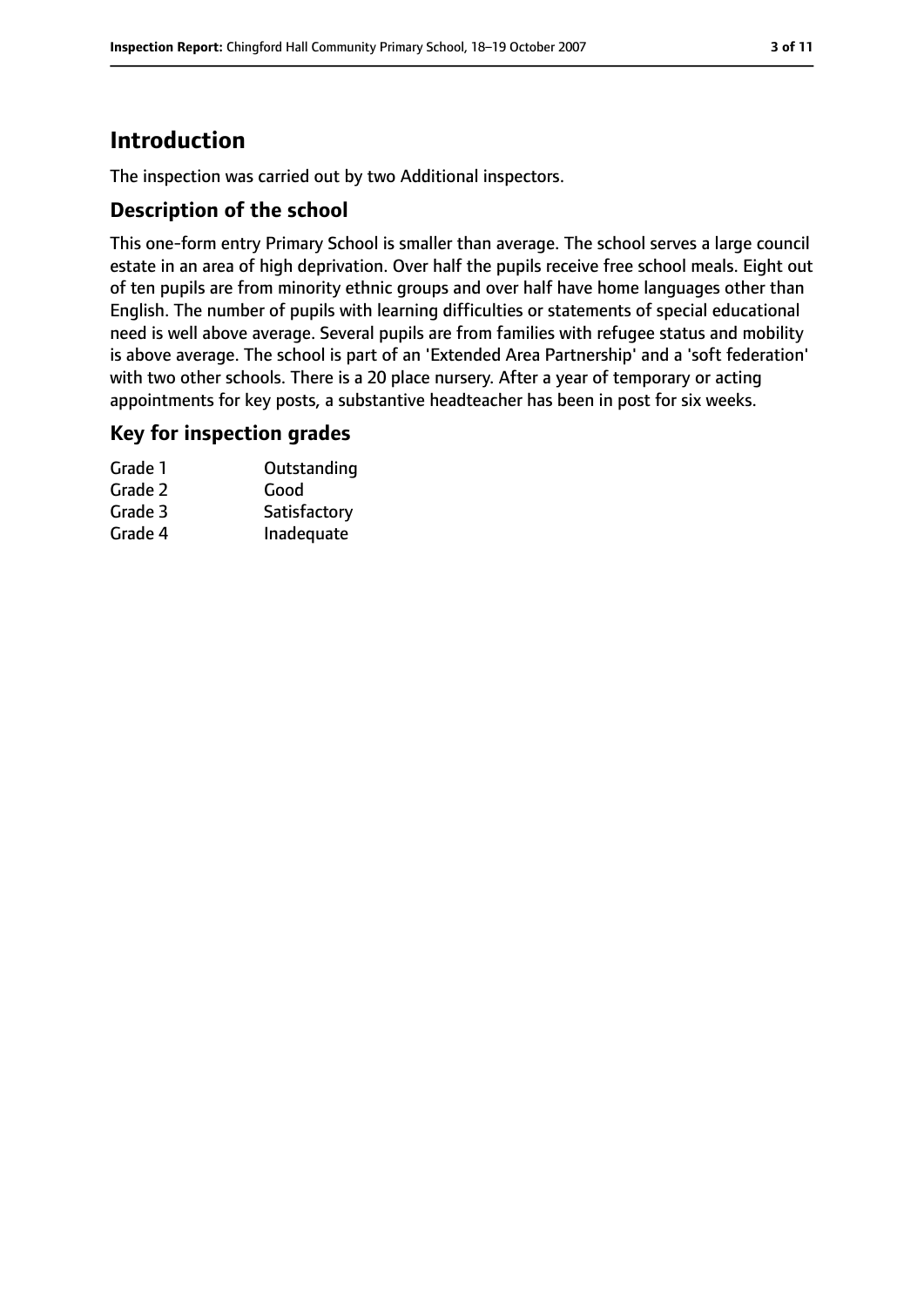# **Introduction**

The inspection was carried out by two Additional inspectors.

## **Description of the school**

This one-form entry Primary School is smaller than average. The school serves a large council estate in an area of high deprivation. Over half the pupils receive free school meals. Eight out of ten pupils are from minority ethnic groups and over half have home languages other than English. The number of pupils with learning difficulties or statements of special educational need is well above average. Several pupils are from families with refugee status and mobility is above average. The school is part of an 'Extended Area Partnership' and a 'soft federation' with two other schools. There is a 20 place nursery. After a year of temporary or acting appointments for key posts, a substantive headteacher has been in post for six weeks.

## **Key for inspection grades**

| Grade 1 | Outstanding  |
|---------|--------------|
| Grade 2 | Good         |
| Grade 3 | Satisfactory |
| Grade 4 | Inadequate   |
|         |              |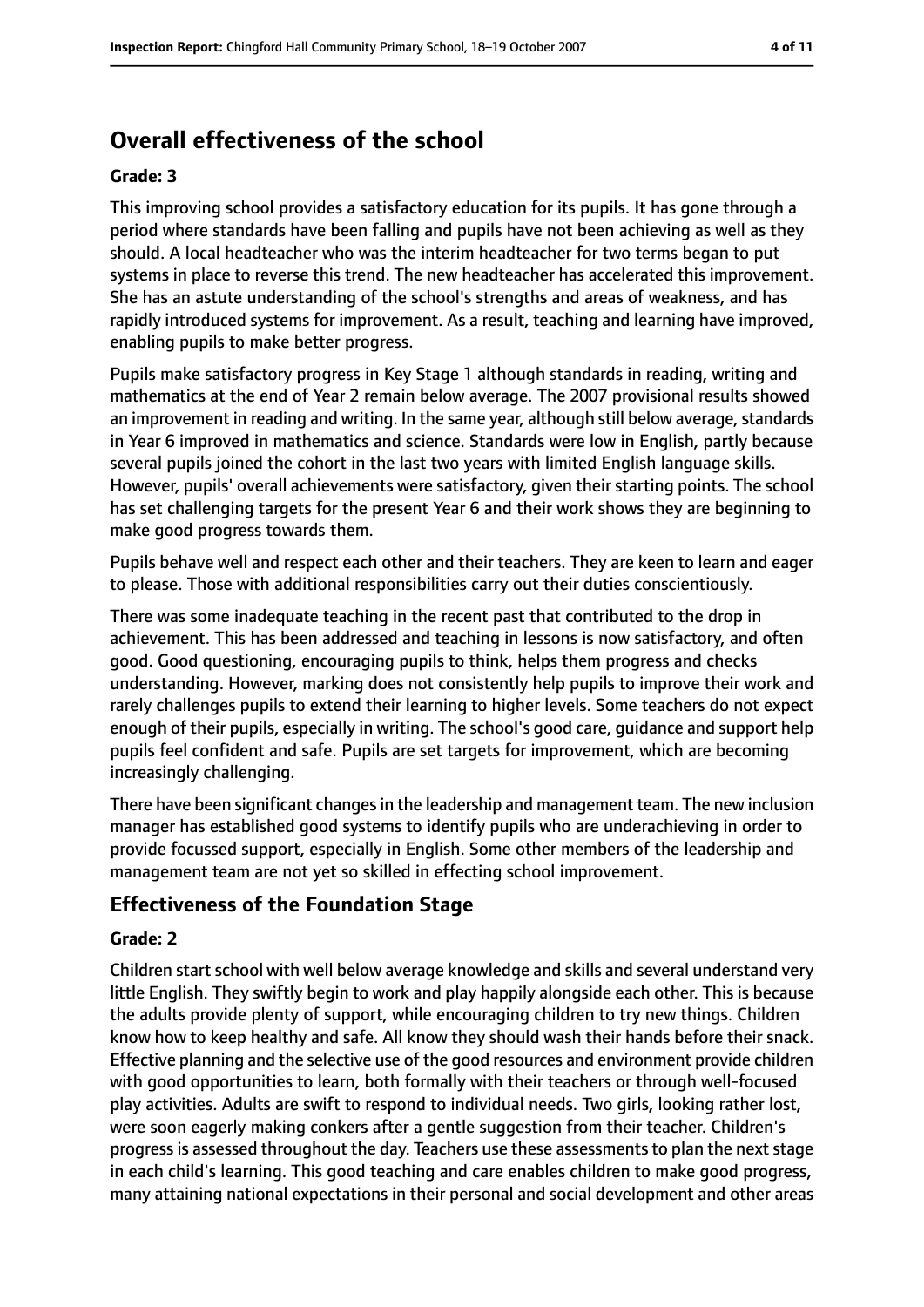# **Overall effectiveness of the school**

#### **Grade: 3**

This improving school provides a satisfactory education for its pupils. It has gone through a period where standards have been falling and pupils have not been achieving as well as they should. A local headteacher who was the interim headteacher for two terms began to put systems in place to reverse this trend. The new headteacher has accelerated this improvement. She has an astute understanding of the school's strengths and areas of weakness, and has rapidly introduced systems for improvement. As a result, teaching and learning have improved, enabling pupils to make better progress.

Pupils make satisfactory progress in Key Stage 1 although standards in reading, writing and mathematics at the end of Year 2 remain below average. The 2007 provisional results showed an improvement in reading and writing. In the same year, although still below average, standards in Year 6 improved in mathematics and science. Standards were low in English, partly because several pupils joined the cohort in the last two years with limited English language skills. However, pupils' overall achievements were satisfactory, given their starting points. The school has set challenging targets for the present Year 6 and their work shows they are beginning to make good progress towards them.

Pupils behave well and respect each other and their teachers. They are keen to learn and eager to please. Those with additional responsibilities carry out their duties conscientiously.

There was some inadequate teaching in the recent past that contributed to the drop in achievement. This has been addressed and teaching in lessons is now satisfactory, and often good. Good questioning, encouraging pupils to think, helps them progress and checks understanding. However, marking does not consistently help pupils to improve their work and rarely challenges pupils to extend their learning to higher levels. Some teachers do not expect enough of their pupils, especially in writing. The school's good care, guidance and support help pupils feel confident and safe. Pupils are set targets for improvement, which are becoming increasingly challenging.

There have been significant changes in the leadership and management team. The new inclusion manager has established good systems to identify pupils who are underachieving in order to provide focussed support, especially in English. Some other members of the leadership and management team are not yet so skilled in effecting school improvement.

## **Effectiveness of the Foundation Stage**

#### **Grade: 2**

Children start school with well below average knowledge and skills and several understand very little English. They swiftly begin to work and play happily alongside each other. This is because the adults provide plenty of support, while encouraging children to try new things. Children know how to keep healthy and safe. All know they should wash their hands before their snack. Effective planning and the selective use of the good resources and environment provide children with good opportunities to learn, both formally with their teachers or through well-focused play activities. Adults are swift to respond to individual needs. Two girls, looking rather lost, were soon eagerly making conkers after a gentle suggestion from their teacher. Children's progress is assessed throughout the day. Teachers use these assessments to plan the next stage in each child's learning. This good teaching and care enables children to make good progress, many attaining national expectations in their personal and social development and other areas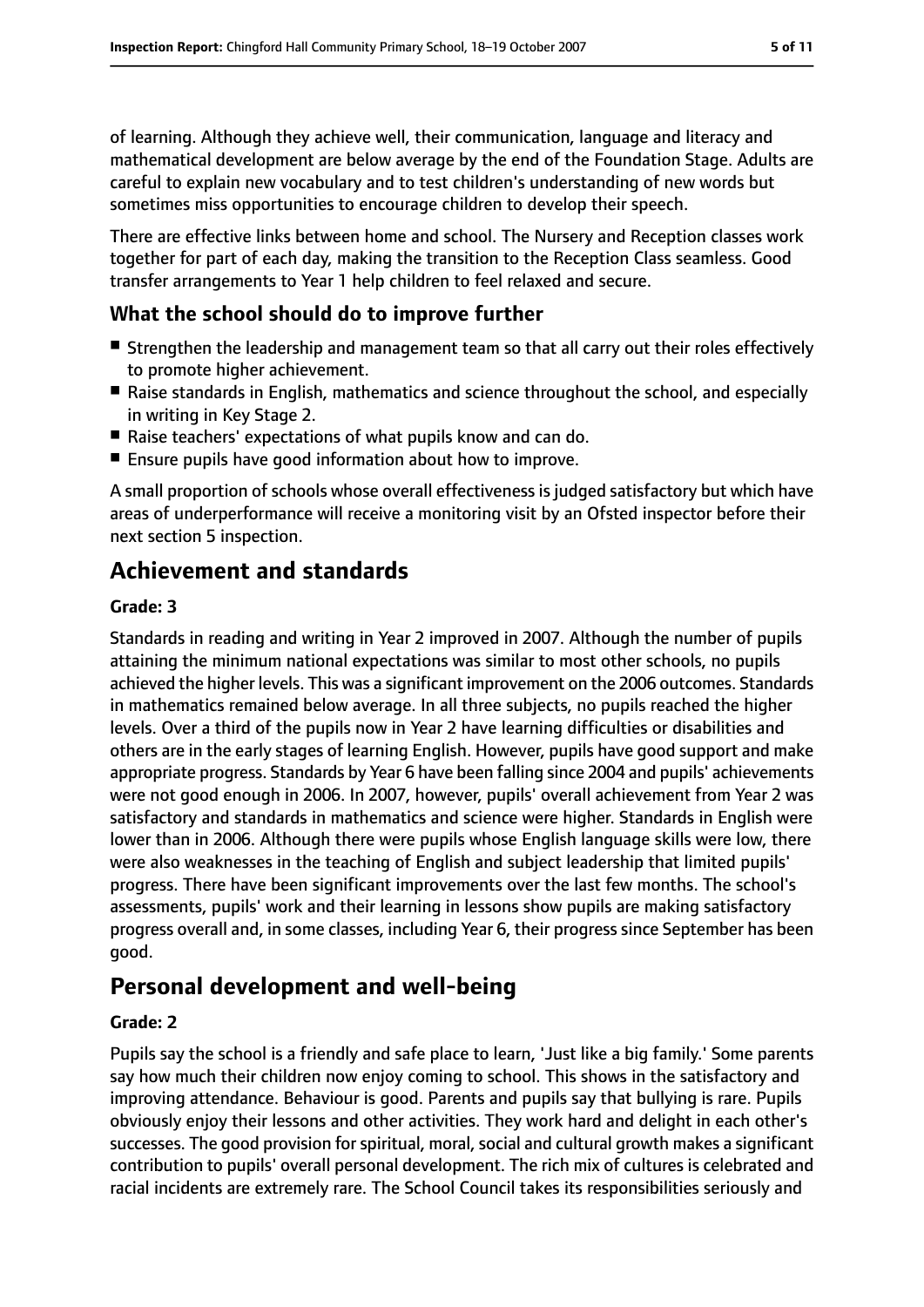of learning. Although they achieve well, their communication, language and literacy and mathematical development are below average by the end of the Foundation Stage. Adults are careful to explain new vocabulary and to test children's understanding of new words but sometimes miss opportunities to encourage children to develop their speech.

There are effective links between home and school. The Nursery and Reception classes work together for part of each day, making the transition to the Reception Class seamless. Good transfer arrangements to Year 1 help children to feel relaxed and secure.

# **What the school should do to improve further**

- Strengthen the leadership and management team so that all carry out their roles effectively to promote higher achievement.
- Raise standards in English, mathematics and science throughout the school, and especially in writing in Key Stage 2.
- Raise teachers' expectations of what pupils know and can do.
- Ensure pupils have good information about how to improve.

A small proportion of schools whose overall effectiveness is judged satisfactory but which have areas of underperformance will receive a monitoring visit by an Ofsted inspector before their next section 5 inspection.

# **Achievement and standards**

#### **Grade: 3**

Standards in reading and writing in Year 2 improved in 2007. Although the number of pupils attaining the minimum national expectations was similar to most other schools, no pupils achieved the higher levels. This was a significant improvement on the 2006 outcomes. Standards in mathematics remained below average. In all three subjects, no pupils reached the higher levels. Over a third of the pupils now in Year 2 have learning difficulties or disabilities and others are in the early stages of learning English. However, pupils have good support and make appropriate progress. Standards by Year 6 have been falling since 2004 and pupils' achievements were not good enough in 2006. In 2007, however, pupils' overall achievement from Year 2 was satisfactory and standards in mathematics and science were higher. Standards in English were lower than in 2006. Although there were pupils whose English language skills were low, there were also weaknesses in the teaching of English and subject leadership that limited pupils' progress. There have been significant improvements over the last few months. The school's assessments, pupils' work and their learning in lessons show pupils are making satisfactory progress overall and, in some classes, including Year 6, their progress since September has been good.

# **Personal development and well-being**

#### **Grade: 2**

Pupils say the school is a friendly and safe place to learn, 'Just like a big family.' Some parents say how much their children now enjoy coming to school. This shows in the satisfactory and improving attendance. Behaviour is good. Parents and pupils say that bullying is rare. Pupils obviously enjoy their lessons and other activities. They work hard and delight in each other's successes. The good provision for spiritual, moral, social and cultural growth makes a significant contribution to pupils' overall personal development. The rich mix of cultures is celebrated and racial incidents are extremely rare. The School Council takes its responsibilities seriously and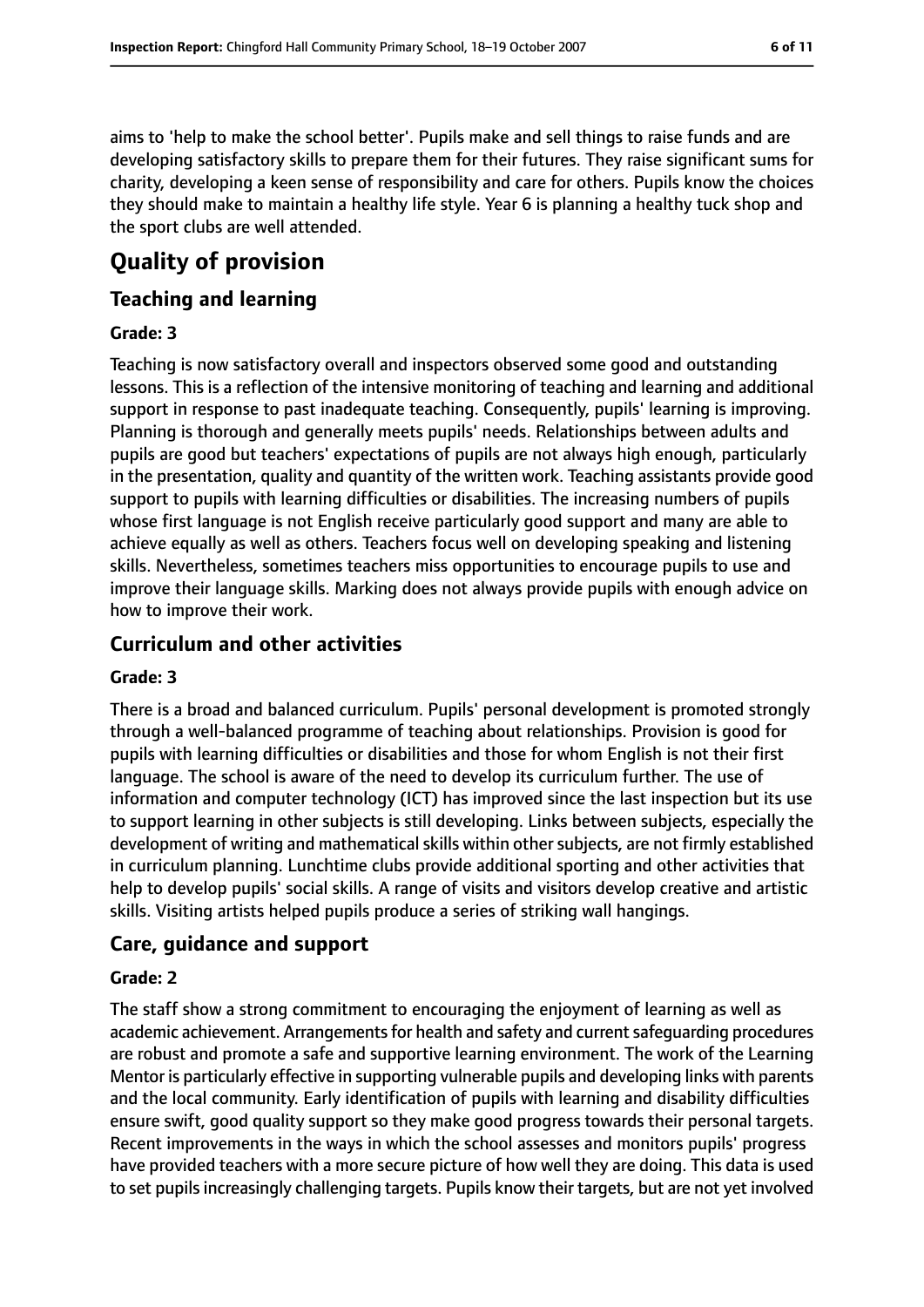aims to 'help to make the school better'. Pupils make and sell things to raise funds and are developing satisfactory skills to prepare them for their futures. They raise significant sums for charity, developing a keen sense of responsibility and care for others. Pupils know the choices they should make to maintain a healthy life style. Year 6 is planning a healthy tuck shop and the sport clubs are well attended.

# **Quality of provision**

## **Teaching and learning**

#### **Grade: 3**

Teaching is now satisfactory overall and inspectors observed some good and outstanding lessons. This is a reflection of the intensive monitoring of teaching and learning and additional support in response to past inadequate teaching. Consequently, pupils' learning is improving. Planning is thorough and generally meets pupils' needs. Relationships between adults and pupils are good but teachers' expectations of pupils are not always high enough, particularly in the presentation, quality and quantity of the written work. Teaching assistants provide good support to pupils with learning difficulties or disabilities. The increasing numbers of pupils whose first language is not English receive particularly good support and many are able to achieve equally as well as others. Teachers focus well on developing speaking and listening skills. Nevertheless, sometimes teachers miss opportunities to encourage pupils to use and improve their language skills. Marking does not always provide pupils with enough advice on how to improve their work.

## **Curriculum and other activities**

#### **Grade: 3**

There is a broad and balanced curriculum. Pupils' personal development is promoted strongly through a well-balanced programme of teaching about relationships. Provision is good for pupils with learning difficulties or disabilities and those for whom English is not their first language. The school is aware of the need to develop its curriculum further. The use of information and computer technology (ICT) has improved since the last inspection but its use to support learning in other subjects is still developing. Links between subjects, especially the development of writing and mathematical skills within other subjects, are not firmly established in curriculum planning. Lunchtime clubs provide additional sporting and other activities that help to develop pupils' social skills. A range of visits and visitors develop creative and artistic skills. Visiting artists helped pupils produce a series of striking wall hangings.

## **Care, guidance and support**

#### **Grade: 2**

The staff show a strong commitment to encouraging the enjoyment of learning as well as academic achievement. Arrangements for health and safety and current safeguarding procedures are robust and promote a safe and supportive learning environment. The work of the Learning Mentor is particularly effective in supporting vulnerable pupils and developing links with parents and the local community. Early identification of pupils with learning and disability difficulties ensure swift, good quality support so they make good progress towards their personal targets. Recent improvements in the ways in which the school assesses and monitors pupils' progress have provided teachers with a more secure picture of how well they are doing. This data is used to set pupils increasingly challenging targets. Pupils know their targets, but are not yet involved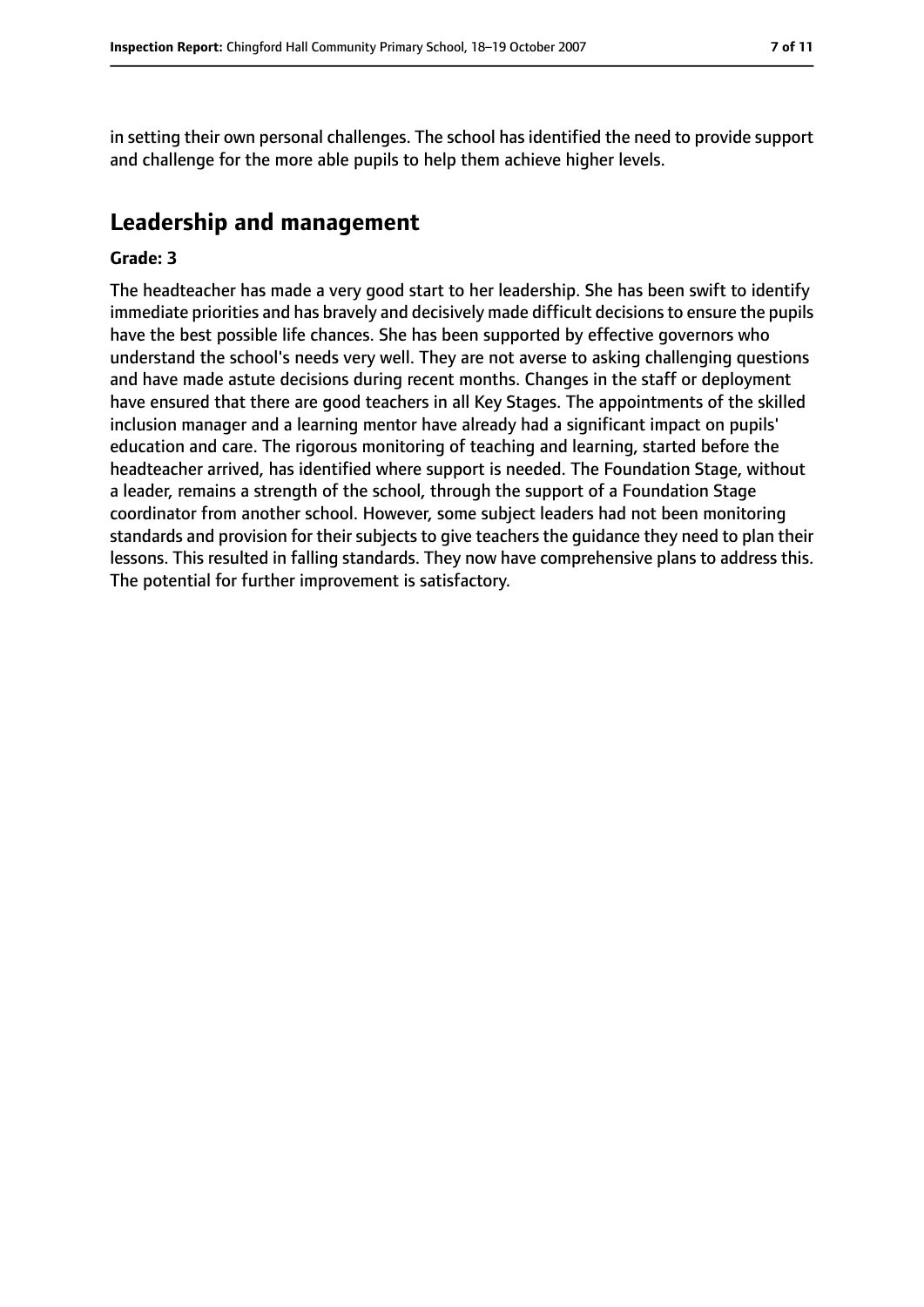in setting their own personal challenges. The school has identified the need to provide support and challenge for the more able pupils to help them achieve higher levels.

# **Leadership and management**

#### **Grade: 3**

The headteacher has made a very good start to her leadership. She has been swift to identify immediate priorities and has bravely and decisively made difficult decisions to ensure the pupils have the best possible life chances. She has been supported by effective governors who understand the school's needs very well. They are not averse to asking challenging questions and have made astute decisions during recent months. Changes in the staff or deployment have ensured that there are good teachers in all Key Stages. The appointments of the skilled inclusion manager and a learning mentor have already had a significant impact on pupils' education and care. The rigorous monitoring of teaching and learning, started before the headteacher arrived, has identified where support is needed. The Foundation Stage, without a leader, remains a strength of the school, through the support of a Foundation Stage coordinator from another school. However, some subject leaders had not been monitoring standards and provision for their subjects to give teachers the guidance they need to plan their lessons. This resulted in falling standards. They now have comprehensive plans to address this. The potential for further improvement is satisfactory.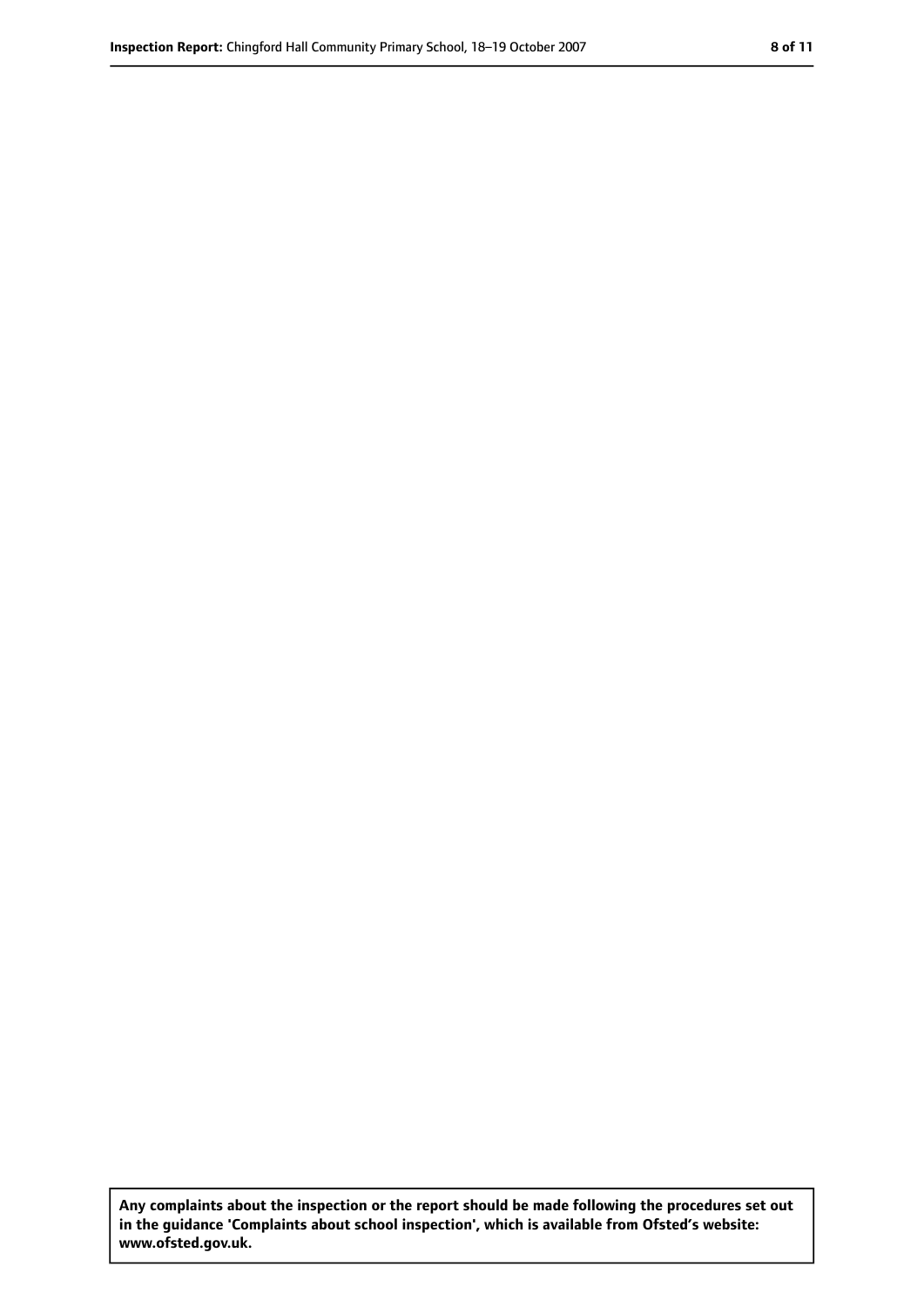**Any complaints about the inspection or the report should be made following the procedures set out in the guidance 'Complaints about school inspection', which is available from Ofsted's website: www.ofsted.gov.uk.**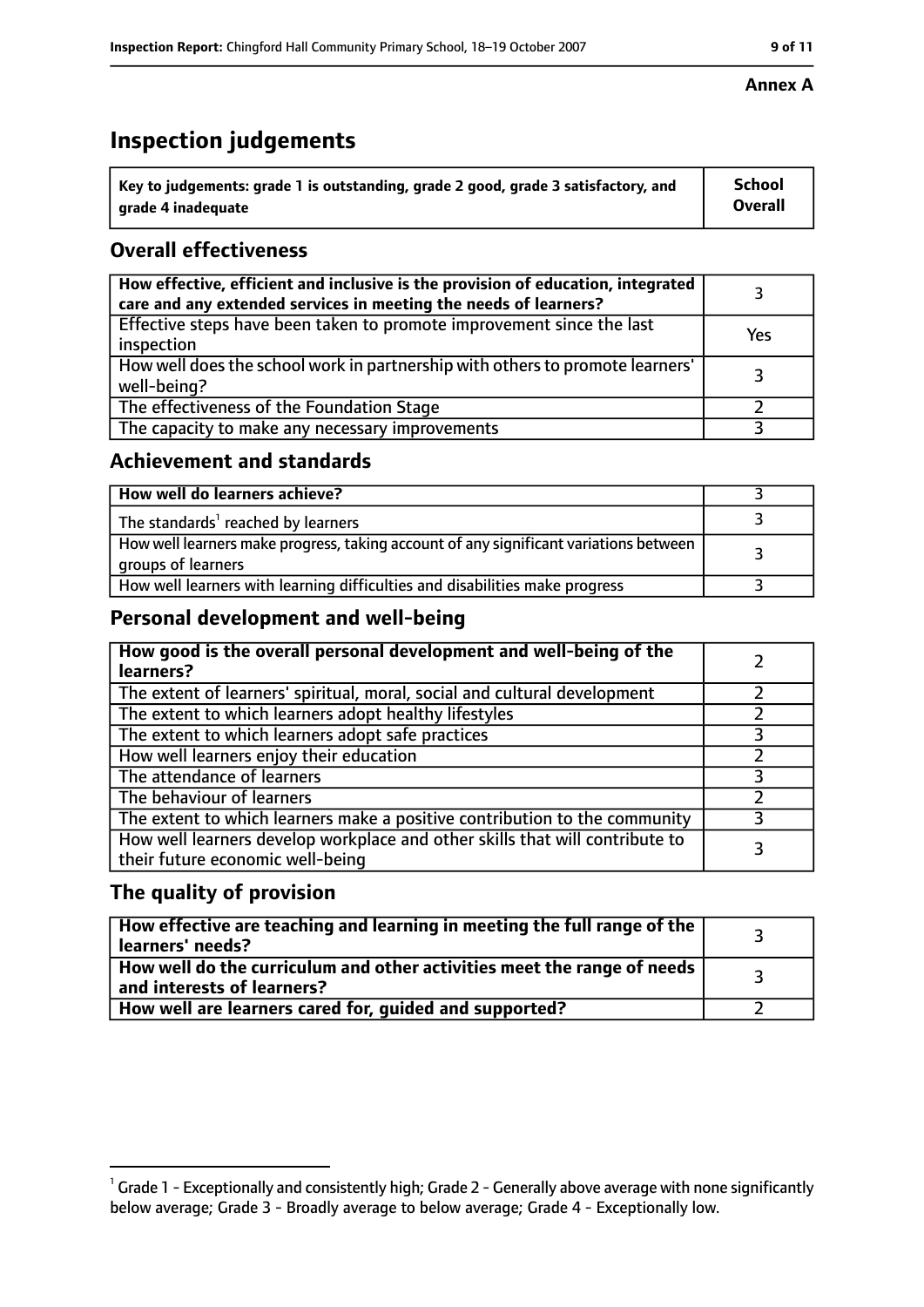# **Inspection judgements**

| $^{\backprime}$ Key to judgements: grade 1 is outstanding, grade 2 good, grade 3 satisfactory, and | School         |
|----------------------------------------------------------------------------------------------------|----------------|
| arade 4 inadequate                                                                                 | <b>Overall</b> |

# **Overall effectiveness**

| How effective, efficient and inclusive is the provision of education, integrated<br>care and any extended services in meeting the needs of learners? |     |
|------------------------------------------------------------------------------------------------------------------------------------------------------|-----|
| Effective steps have been taken to promote improvement since the last<br>inspection                                                                  | Yes |
| How well does the school work in partnership with others to promote learners'<br>well-being?                                                         |     |
| The effectiveness of the Foundation Stage                                                                                                            |     |
| The capacity to make any necessary improvements                                                                                                      |     |

## **Achievement and standards**

| How well do learners achieve?                                                                               |  |
|-------------------------------------------------------------------------------------------------------------|--|
| The standards <sup>1</sup> reached by learners                                                              |  |
| How well learners make progress, taking account of any significant variations between<br>groups of learners |  |
| How well learners with learning difficulties and disabilities make progress                                 |  |

# **Personal development and well-being**

| How good is the overall personal development and well-being of the<br>learners?                                  |  |
|------------------------------------------------------------------------------------------------------------------|--|
| The extent of learners' spiritual, moral, social and cultural development                                        |  |
| The extent to which learners adopt healthy lifestyles                                                            |  |
| The extent to which learners adopt safe practices                                                                |  |
| How well learners enjoy their education                                                                          |  |
| The attendance of learners                                                                                       |  |
| The behaviour of learners                                                                                        |  |
| The extent to which learners make a positive contribution to the community                                       |  |
| How well learners develop workplace and other skills that will contribute to<br>their future economic well-being |  |

# **The quality of provision**

| How effective are teaching and learning in meeting the full range of the<br>learners' needs?          |  |
|-------------------------------------------------------------------------------------------------------|--|
| How well do the curriculum and other activities meet the range of needs<br>and interests of learners? |  |
| How well are learners cared for, guided and supported?                                                |  |

#### **Annex A**

 $^1$  Grade 1 - Exceptionally and consistently high; Grade 2 - Generally above average with none significantly below average; Grade 3 - Broadly average to below average; Grade 4 - Exceptionally low.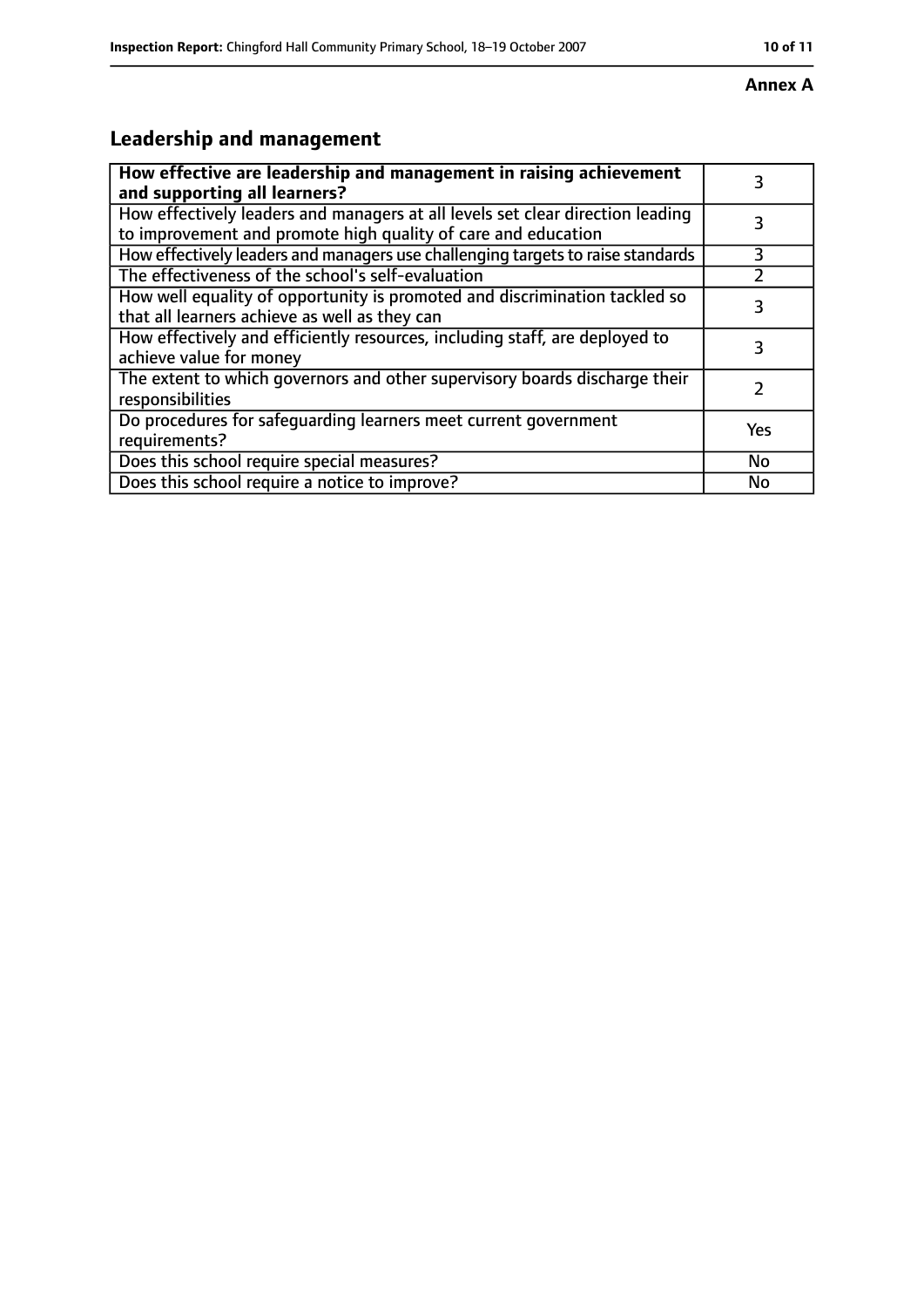#### **Annex A**

# **Leadership and management**

| How effective are leadership and management in raising achievement<br>and supporting all learners?                                              | 3         |
|-------------------------------------------------------------------------------------------------------------------------------------------------|-----------|
| How effectively leaders and managers at all levels set clear direction leading<br>to improvement and promote high quality of care and education |           |
| How effectively leaders and managers use challenging targets to raise standards                                                                 | 3         |
| The effectiveness of the school's self-evaluation                                                                                               |           |
| How well equality of opportunity is promoted and discrimination tackled so<br>that all learners achieve as well as they can                     | 3         |
| How effectively and efficiently resources, including staff, are deployed to<br>achieve value for money                                          | 3         |
| The extent to which governors and other supervisory boards discharge their<br>responsibilities                                                  |           |
| Do procedures for safequarding learners meet current government<br>requirements?                                                                | Yes       |
| Does this school require special measures?                                                                                                      | <b>No</b> |
| Does this school require a notice to improve?                                                                                                   | No        |